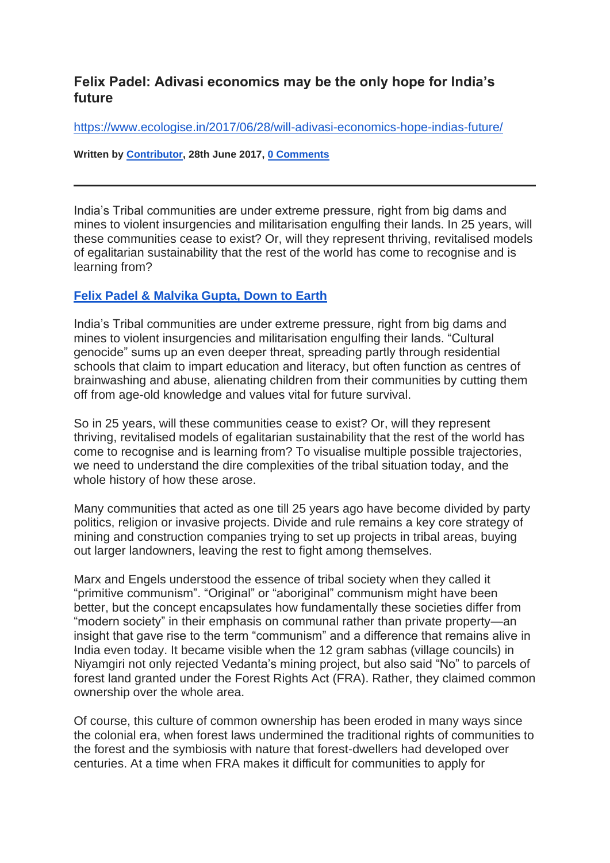## **Felix Padel: Adivasi economics may be the only hope for India's future**

<https://www.ecologise.in/2017/06/28/will-adivasi-economics-hope-indias-future/>

**Written by [Contributor,](https://www.ecologise.in/author/contributor/) 28th June 2017, [0 Comments](https://www.ecologise.in/2017/06/28/will-adivasi-economics-hope-indias-future/#respond)**

India's Tribal communities are under extreme pressure, right from big dams and mines to violent insurgencies and militarisation engulfing their lands. In 25 years, will these communities cease to exist? Or, will they represent thriving, revitalised models of egalitarian sustainability that the rest of the world has come to recognise and is learning from?

## **[Felix Padel & Malvika Gupta, Down to Earth](http://www.downtoearth.org.in/news/reverse-the-learning-57776)**

India's Tribal communities are under extreme pressure, right from big dams and mines to violent insurgencies and militarisation engulfing their lands. "Cultural genocide" sums up an even deeper threat, spreading partly through residential schools that claim to impart education and literacy, but often function as centres of brainwashing and abuse, alienating children from their communities by cutting them off from age-old knowledge and values vital for future survival.

So in 25 years, will these communities cease to exist? Or, will they represent thriving, revitalised models of egalitarian sustainability that the rest of the world has come to recognise and is learning from? To visualise multiple possible trajectories, we need to understand the dire complexities of the tribal situation today, and the whole history of how these arose.

Many communities that acted as one till 25 years ago have become divided by party politics, religion or invasive projects. Divide and rule remains a key core strategy of mining and construction companies trying to set up projects in tribal areas, buying out larger landowners, leaving the rest to fight among themselves.

Marx and Engels understood the essence of tribal society when they called it "primitive communism". "Original" or "aboriginal" communism might have been better, but the concept encapsulates how fundamentally these societies differ from "modern society" in their emphasis on communal rather than private property—an insight that gave rise to the term "communism" and a difference that remains alive in India even today. It became visible when the 12 gram sabhas (village councils) in Niyamgiri not only rejected Vedanta's mining project, but also said "No" to parcels of forest land granted under the Forest Rights Act (FRA). Rather, they claimed common ownership over the whole area.

Of course, this culture of common ownership has been eroded in many ways since the colonial era, when forest laws undermined the traditional rights of communities to the forest and the symbiosis with nature that forest-dwellers had developed over centuries. At a time when FRA makes it difficult for communities to apply for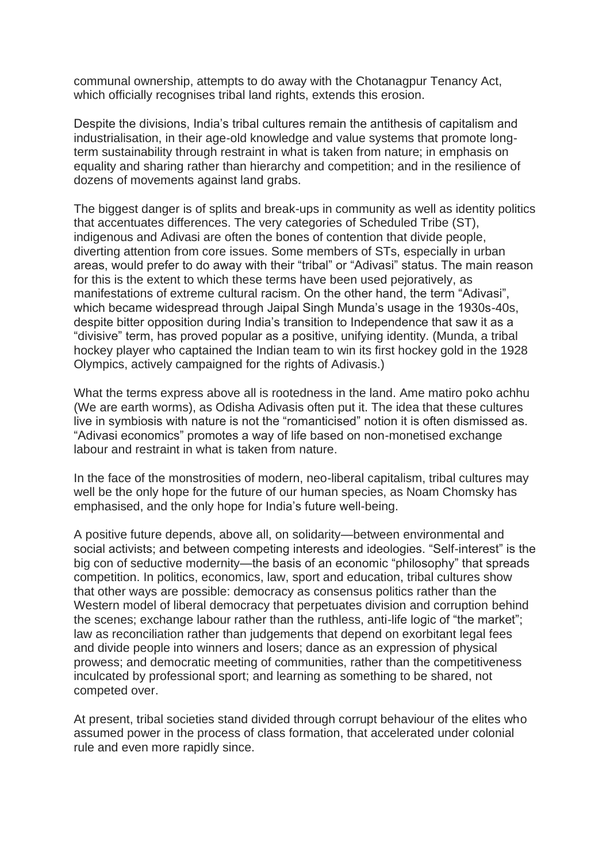communal ownership, attempts to do away with the Chotanagpur Tenancy Act, which officially recognises tribal land rights, extends this erosion.

Despite the divisions, India's tribal cultures remain the antithesis of capitalism and industrialisation, in their age-old knowledge and value systems that promote longterm sustainability through restraint in what is taken from nature; in emphasis on equality and sharing rather than hierarchy and competition; and in the resilience of dozens of movements against land grabs.

The biggest danger is of splits and break-ups in community as well as identity politics that accentuates differences. The very categories of Scheduled Tribe (ST), indigenous and Adivasi are often the bones of contention that divide people, diverting attention from core issues. Some members of STs, especially in urban areas, would prefer to do away with their "tribal" or "Adivasi" status. The main reason for this is the extent to which these terms have been used pejoratively, as manifestations of extreme cultural racism. On the other hand, the term "Adivasi", which became widespread through Jaipal Singh Munda's usage in the 1930s-40s, despite bitter opposition during India's transition to Independence that saw it as a "divisive" term, has proved popular as a positive, unifying identity. (Munda, a tribal hockey player who captained the Indian team to win its first hockey gold in the 1928 Olympics, actively campaigned for the rights of Adivasis.)

What the terms express above all is rootedness in the land. Ame matiro poko achhu (We are earth worms), as Odisha Adivasis often put it. The idea that these cultures live in symbiosis with nature is not the "romanticised" notion it is often dismissed as. "Adivasi economics" promotes a way of life based on non-monetised exchange labour and restraint in what is taken from nature.

In the face of the monstrosities of modern, neo-liberal capitalism, tribal cultures may well be the only hope for the future of our human species, as Noam Chomsky has emphasised, and the only hope for India's future well-being.

A positive future depends, above all, on solidarity—between environmental and social activists; and between competing interests and ideologies. "Self-interest" is the big con of seductive modernity—the basis of an economic "philosophy" that spreads competition. In politics, economics, law, sport and education, tribal cultures show that other ways are possible: democracy as consensus politics rather than the Western model of liberal democracy that perpetuates division and corruption behind the scenes; exchange labour rather than the ruthless, anti-life logic of "the market"; law as reconciliation rather than judgements that depend on exorbitant legal fees and divide people into winners and losers; dance as an expression of physical prowess; and democratic meeting of communities, rather than the competitiveness inculcated by professional sport; and learning as something to be shared, not competed over.

At present, tribal societies stand divided through corrupt behaviour of the elites who assumed power in the process of class formation, that accelerated under colonial rule and even more rapidly since.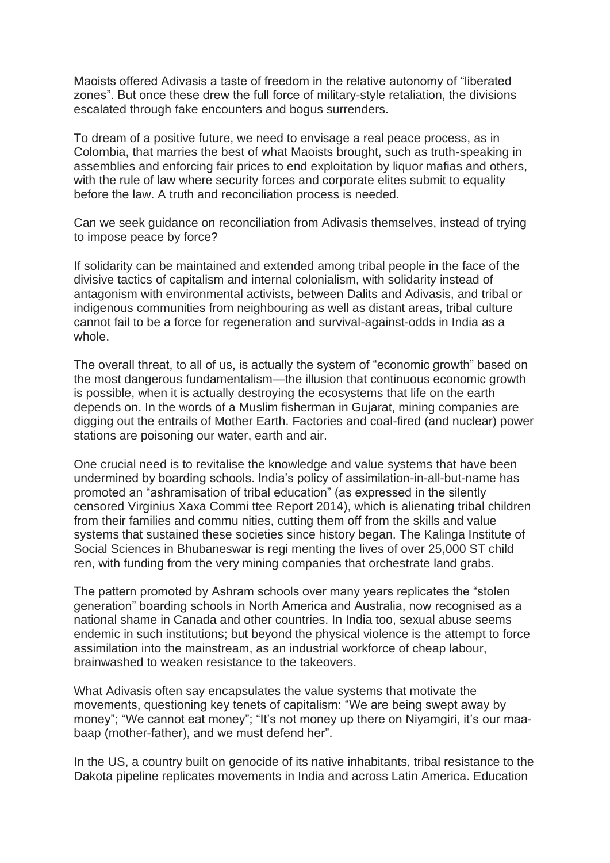Maoists offered Adivasis a taste of freedom in the relative autonomy of "liberated zones". But once these drew the full force of military-style retaliation, the divisions escalated through fake encounters and bogus surrenders.

To dream of a positive future, we need to envisage a real peace process, as in Colombia, that marries the best of what Maoists brought, such as truth-speaking in assemblies and enforcing fair prices to end exploitation by liquor mafias and others, with the rule of law where security forces and corporate elites submit to equality before the law. A truth and reconciliation process is needed.

Can we seek guidance on reconciliation from Adivasis themselves, instead of trying to impose peace by force?

If solidarity can be maintained and extended among tribal people in the face of the divisive tactics of capitalism and internal colonialism, with solidarity instead of antagonism with environmental activists, between Dalits and Adivasis, and tribal or indigenous communities from neighbouring as well as distant areas, tribal culture cannot fail to be a force for regeneration and survival-against-odds in India as a whole.

The overall threat, to all of us, is actually the system of "economic growth" based on the most dangerous fundamentalism—the illusion that continuous economic growth is possible, when it is actually destroying the ecosystems that life on the earth depends on. In the words of a Muslim fisherman in Gujarat, mining companies are digging out the entrails of Mother Earth. Factories and coal-fired (and nuclear) power stations are poisoning our water, earth and air.

One crucial need is to revitalise the knowledge and value systems that have been undermined by boarding schools. India's policy of assimilation-in-all-but-name has promoted an "ashramisation of tribal education" (as expressed in the silently censored Virginius Xaxa Commi ttee Report 2014), which is alienating tribal children from their families and commu nities, cutting them off from the skills and value systems that sustained these societies since history began. The Kalinga Institute of Social Sciences in Bhubaneswar is regi menting the lives of over 25,000 ST child ren, with funding from the very mining companies that orchestrate land grabs.

The pattern promoted by Ashram schools over many years replicates the "stolen generation" boarding schools in North America and Australia, now recognised as a national shame in Canada and other countries. In India too, sexual abuse seems endemic in such institutions; but beyond the physical violence is the attempt to force assimilation into the mainstream, as an industrial workforce of cheap labour, brainwashed to weaken resistance to the takeovers.

What Adivasis often say encapsulates the value systems that motivate the movements, questioning key tenets of capitalism: "We are being swept away by money"; "We cannot eat money"; "It's not money up there on Niyamgiri, it's our maabaap (mother-father), and we must defend her".

In the US, a country built on genocide of its native inhabitants, tribal resistance to the Dakota pipeline replicates movements in India and across Latin America. Education